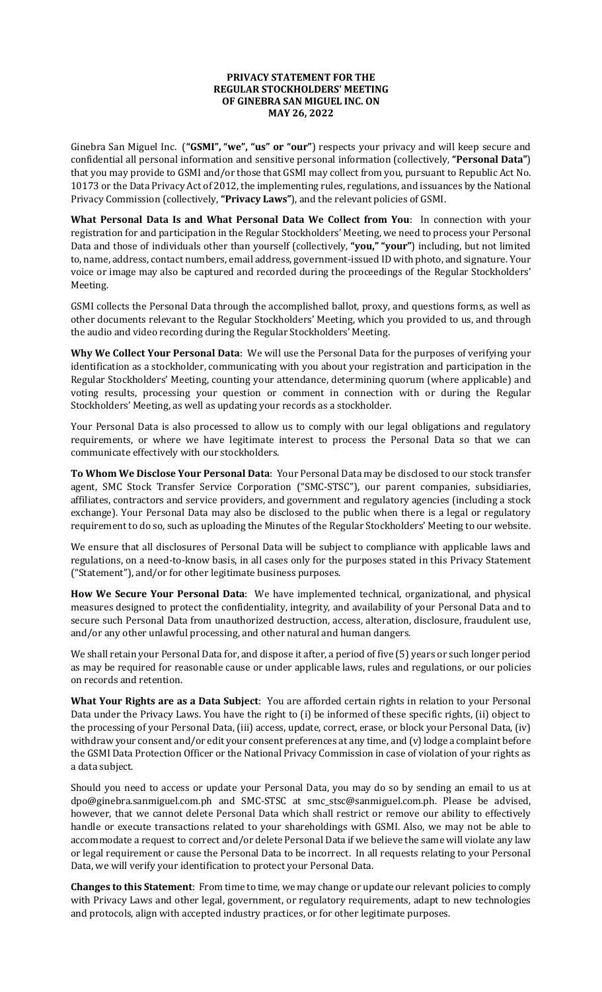## **PRIVACY STATEMENT FOR THE REGULAR STOCKHOLDERS' MEETING OF GINEBRA SAN MIGUEL INC. ON MAY 26, 2022**

Ginebra San Miguel Inc. (**"GSMI", "we", "us" or "our"**) respects your privacy and will keep secure and confidential all personal information and sensitive personal information (collectively, **"Personal Data"**) that you may provide to GSMI and/or those that GSMI may collect from you, pursuant to Republic Act No. 10173 or the Data Privacy Act of 2012, the implementing rules, regulations, and issuances by the National Privacy Commission (collectively, **"Privacy Laws"**), and the relevant policies of GSMI.

**What Personal Data Is and What Personal Data We Collect from You**: In connection with your registration for and participation in the Regular Stockholders' Meeting, we need to process your Personal Data and those of individuals other than yourself (collectively, **"you," "your"**) including, but not limited to, name, address, contact numbers, email address, government-issued ID with photo, and signature. Your voice or image may also be captured and recorded during the proceedings of the Regular Stockholders' Meeting.

GSMI collects the Personal Data through the accomplished ballot, proxy, and questions forms, as well as other documents relevant to the Regular Stockholders' Meeting, which you provided to us, and through the audio and video recording during the Regular Stockholders' Meeting.

**Why We Collect Your Personal Data**: We will use the Personal Data for the purposes of verifying your identification as a stockholder, communicating with you about your registration and participation in the Regular Stockholders' Meeting, counting your attendance, determining quorum (where applicable) and voting results, processing your question or comment in connection with or during the Regular Stockholders' Meeting, as well as updating your records as a stockholder.

Your Personal Data is also processed to allow us to comply with our legal obligations and regulatory requirements, or where we have legitimate interest to process the Personal Data so that we can communicate effectively with our stockholders.

**To Whom We Disclose Your Personal Data**: Your Personal Data may be disclosed to our stock transfer agent, SMC Stock Transfer Service Corporation ("SMC-STSC"), our parent companies, subsidiaries, affiliates, contractors and service providers, and government and regulatory agencies (including a stock exchange). Your Personal Data may also be disclosed to the public when there is a legal or regulatory requirement to do so, such as uploading the Minutes of the Regular Stockholders' Meeting to our website.

We ensure that all disclosures of Personal Data will be subject to compliance with applicable laws and regulations, on a need-to-know basis, in all cases only for the purposes stated in this Privacy Statement ("Statement"), and/or for other legitimate business purposes.

**How We Secure Your Personal Data**: We have implemented technical, organizational, and physical measures designed to protect the confidentiality, integrity, and availability of your Personal Data and to secure such Personal Data from unauthorized destruction, access, alteration, disclosure, fraudulent use, and/or any other unlawful processing, and other natural and human dangers.

We shall retain your Personal Data for, and dispose it after, a period of five (5) years or such longer period as may be required for reasonable cause or under applicable laws, rules and regulations, or our policies on records and retention.

**What Your Rights are as a Data Subject**: You are afforded certain rights in relation to your Personal Data under the Privacy Laws. You have the right to (i) be informed of these specific rights, (ii) object to the processing of your Personal Data, (iii) access, update, correct, erase, or block your Personal Data, (iv) withdraw your consent and/or edit your consent preferences at any time, and (v) lodge a complaint before the GSMI Data Protection Officer or the National Privacy Commission in case of violation of your rights as a data subject.

Should you need to access or update your Personal Data, you may do so by sending an email to us at [dpo@ginebra.sanmiguel.com.ph](mailto:dpo@ginebra.sanmiguel.com.ph) and SMC-STSC at [smc\\_stsc@sanmiguel.com.ph.](mailto:smc_stsc@sanmiguel.com.ph) Please be advised, however, that we cannot delete Personal Data which shall restrict or remove our ability to effectively handle or execute transactions related to your shareholdings with GSMI. Also, we may not be able to accommodate a request to correct and/or delete Personal Data if we believe the same will violate any law or legal requirement or cause the Personal Data to be incorrect. In all requests relating to your Personal Data, we will verify your identification to protect your Personal Data.

**Changes to this Statement**: From time to time, we may change or update our relevant policies to comply with Privacy Laws and other legal, government, or regulatory requirements, adapt to new technologies and protocols, align with accepted industry practices, or for other legitimate purposes.